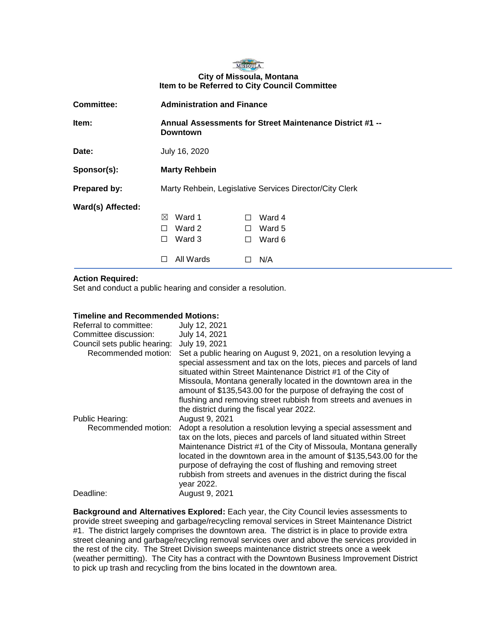

| <b>Committee:</b> | <b>Administration and Finance</b>            |                                                          |
|-------------------|----------------------------------------------|----------------------------------------------------------|
| Item:             | <b>Downtown</b>                              | Annual Assessments for Street Maintenance District #1 -- |
| Date:             | July 16, 2020                                |                                                          |
| Sponsor(s):       | <b>Marty Rehbein</b>                         |                                                          |
| Prepared by:      |                                              | Marty Rehbein, Legislative Services Director/City Clerk  |
| Ward(s) Affected: | Ward 1<br>⊠<br>Ward 2<br>Ward 3<br>All Wards | Ward 4<br>$\perp$<br>Ward 5<br>П<br>Ward 6<br>п<br>N/A   |

## **Action Required:**

Set and conduct a public hearing and consider a resolution.

## **Timeline and Recommended Motions:**

| Referral to committee:<br>Committee discussion:<br>Council sets public hearing:<br>Recommended motion: | July 12, 2021<br>July 14, 2021<br>July 19, 2021<br>Set a public hearing on August 9, 2021, on a resolution levying a<br>special assessment and tax on the lots, pieces and parcels of land<br>situated within Street Maintenance District #1 of the City of<br>Missoula, Montana generally located in the downtown area in the<br>amount of \$135,543.00 for the purpose of defraying the cost of<br>flushing and removing street rubbish from streets and avenues in<br>the district during the fiscal year 2022. |
|--------------------------------------------------------------------------------------------------------|--------------------------------------------------------------------------------------------------------------------------------------------------------------------------------------------------------------------------------------------------------------------------------------------------------------------------------------------------------------------------------------------------------------------------------------------------------------------------------------------------------------------|
| Public Hearing:<br>Recommended motion:                                                                 | August 9, 2021<br>Adopt a resolution a resolution levying a special assessment and<br>tax on the lots, pieces and parcels of land situated within Street<br>Maintenance District #1 of the City of Missoula, Montana generally<br>located in the downtown area in the amount of \$135,543.00 for the<br>purpose of defraying the cost of flushing and removing street<br>rubbish from streets and avenues in the district during the fiscal<br>year 2022.                                                          |
| Deadline:                                                                                              | August 9, 2021                                                                                                                                                                                                                                                                                                                                                                                                                                                                                                     |

**Background and Alternatives Explored:** Each year, the City Council levies assessments to provide street sweeping and garbage/recycling removal services in Street Maintenance District #1. The district largely comprises the downtown area. The district is in place to provide extra street cleaning and garbage/recycling removal services over and above the services provided in the rest of the city. The Street Division sweeps maintenance district streets once a week (weather permitting). The City has a contract with the Downtown Business Improvement District to pick up trash and recycling from the bins located in the downtown area.